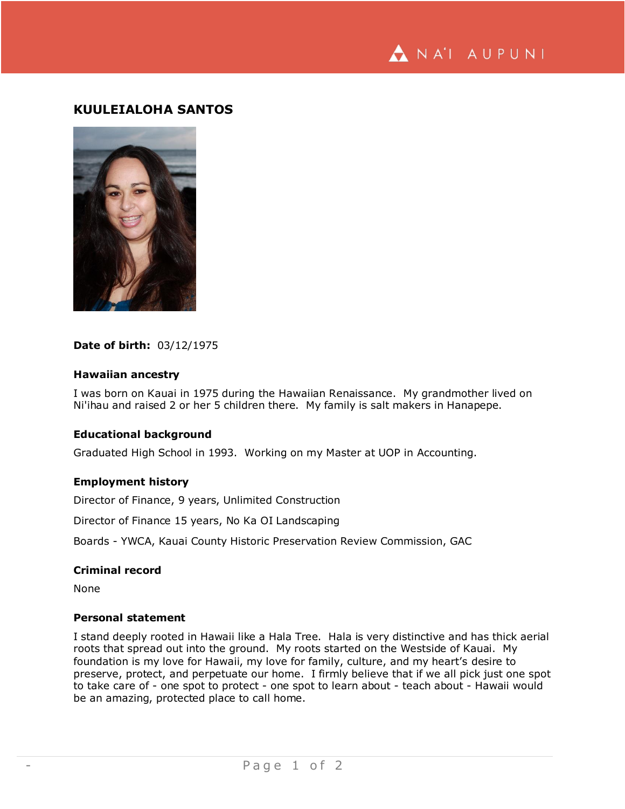NA'I AUPUNI

# **KUULEIALOHA SANTOS**



# **Date of birth:** 03/12/1975

# **Hawaiian ancestry**

I was born on Kauai in 1975 during the Hawaiian Renaissance. My grandmother lived on Ni'ihau and raised 2 or her 5 children there. My family is salt makers in Hanapepe.

### **Educational background**

Graduated High School in 1993. Working on my Master at UOP in Accounting.

#### **Employment history**

Director of Finance, 9 years, Unlimited Construction

Director of Finance 15 years, No Ka OI Landscaping

Boards - YWCA, Kauai County Historic Preservation Review Commission, GAC

#### **Criminal record**

None

# **Personal statement**

I stand deeply rooted in Hawaii like a Hala Tree. Hala is very distinctive and has thick aerial roots that spread out into the ground. My roots started on the Westside of Kauai. My foundation is my love for Hawaii, my love for family, culture, and my heart's desire to preserve, protect, and perpetuate our home. I firmly believe that if we all pick just one spot to take care of - one spot to protect - one spot to learn about - teach about - Hawaii would be an amazing, protected place to call home.